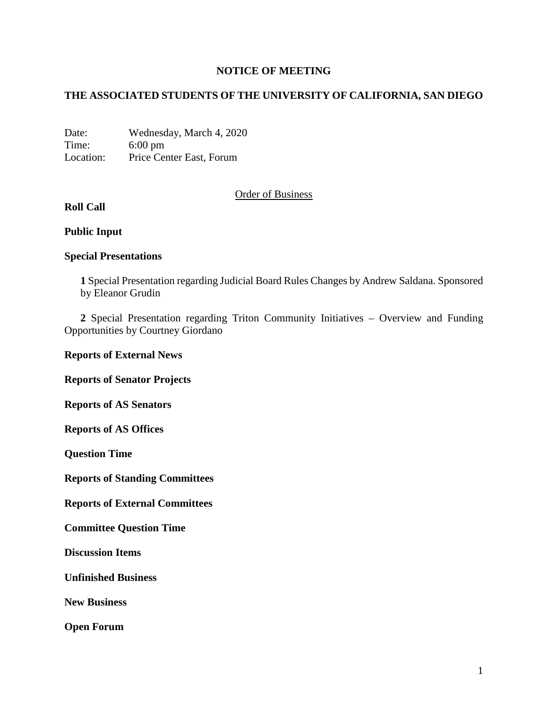### **NOTICE OF MEETING**

## **THE ASSOCIATED STUDENTS OF THE UNIVERSITY OF CALIFORNIA, SAN DIEGO**

Date: Wednesday, March 4, 2020 Time: 6:00 pm Location: Price Center East, Forum

## Order of Business

# **Roll Call**

### **Public Input**

### **Special Presentations**

**1** Special Presentation regarding Judicial Board Rules Changes by Andrew Saldana. Sponsored by Eleanor Grudin

**2** Special Presentation regarding Triton Community Initiatives – Overview and Funding Opportunities by Courtney Giordano

#### **Reports of External News**

**Reports of Senator Projects**

**Reports of AS Senators**

**Reports of AS Offices**

**Question Time**

**Reports of Standing Committees**

**Reports of External Committees**

**Committee Question Time**

**Discussion Items**

**Unfinished Business**

**New Business**

**Open Forum**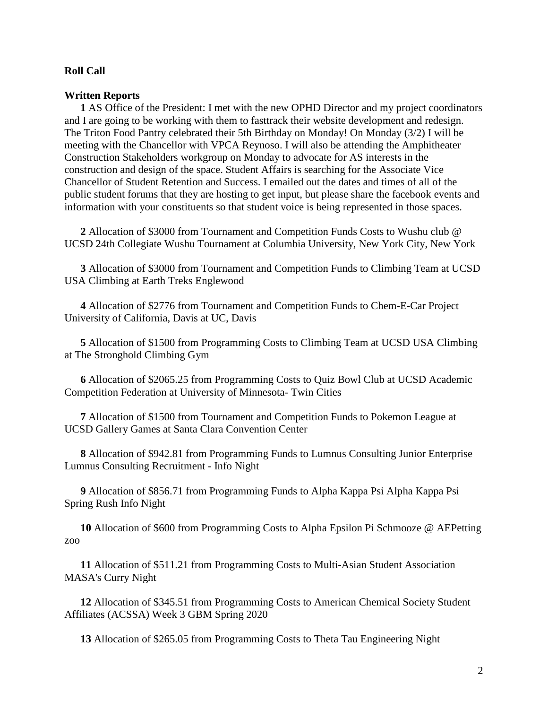#### **Roll Call**

#### **Written Reports**

**1** AS Office of the President: I met with the new OPHD Director and my project coordinators and I are going to be working with them to fasttrack their website development and redesign. The Triton Food Pantry celebrated their 5th Birthday on Monday! On Monday (3/2) I will be meeting with the Chancellor with VPCA Reynoso. I will also be attending the Amphitheater Construction Stakeholders workgroup on Monday to advocate for AS interests in the construction and design of the space. Student Affairs is searching for the Associate Vice Chancellor of Student Retention and Success. I emailed out the dates and times of all of the public student forums that they are hosting to get input, but please share the facebook events and information with your constituents so that student voice is being represented in those spaces.

**2** Allocation of \$3000 from Tournament and Competition Funds Costs to Wushu club @ UCSD 24th Collegiate Wushu Tournament at Columbia University, New York City, New York

**3** Allocation of \$3000 from Tournament and Competition Funds to Climbing Team at UCSD USA Climbing at Earth Treks Englewood

**4** Allocation of \$2776 from Tournament and Competition Funds to Chem-E-Car Project University of California, Davis at UC, Davis

**5** Allocation of \$1500 from Programming Costs to Climbing Team at UCSD USA Climbing at The Stronghold Climbing Gym

**6** Allocation of \$2065.25 from Programming Costs to Quiz Bowl Club at UCSD Academic Competition Federation at University of Minnesota- Twin Cities

**7** Allocation of \$1500 from Tournament and Competition Funds to Pokemon League at UCSD Gallery Games at Santa Clara Convention Center

**8** Allocation of \$942.81 from Programming Funds to Lumnus Consulting Junior Enterprise Lumnus Consulting Recruitment - Info Night

**9** Allocation of \$856.71 from Programming Funds to Alpha Kappa Psi Alpha Kappa Psi Spring Rush Info Night

**10** Allocation of \$600 from Programming Costs to Alpha Epsilon Pi Schmooze @ AEPetting zoo

**11** Allocation of \$511.21 from Programming Costs to Multi-Asian Student Association MASA's Curry Night

**12** Allocation of \$345.51 from Programming Costs to American Chemical Society Student Affiliates (ACSSA) Week 3 GBM Spring 2020

**13** Allocation of \$265.05 from Programming Costs to Theta Tau Engineering Night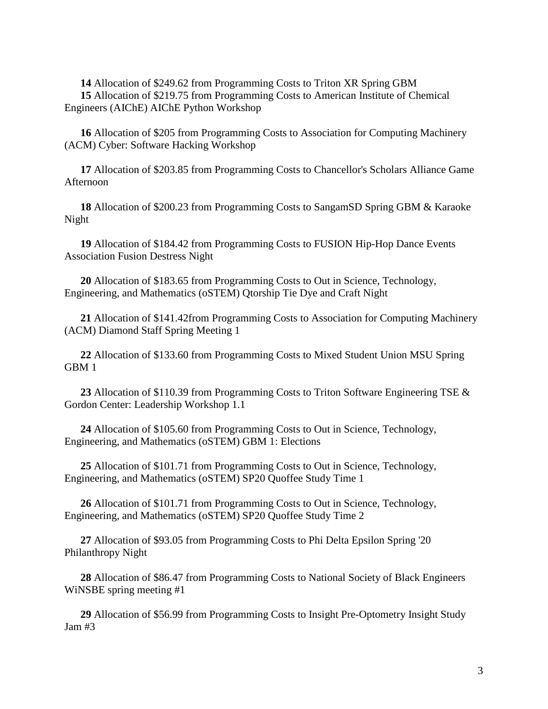**14** Allocation of \$249.62 from Programming Costs to Triton XR Spring GBM **15** Allocation of \$219.75 from Programming Costs to American Institute of Chemical Engineers (AIChE) AIChE Python Workshop

**16** Allocation of \$205 from Programming Costs to Association for Computing Machinery (ACM) Cyber: Software Hacking Workshop

**17** Allocation of \$203.85 from Programming Costs to Chancellor's Scholars Alliance Game Afternoon

**18** Allocation of \$200.23 from Programming Costs to SangamSD Spring GBM & Karaoke Night

**19** Allocation of \$184.42 from Programming Costs to FUSION Hip-Hop Dance Events Association Fusion Destress Night

**20** Allocation of \$183.65 from Programming Costs to Out in Science, Technology, Engineering, and Mathematics (oSTEM) Qtorship Tie Dye and Craft Night

**21** Allocation of \$141.42from Programming Costs to Association for Computing Machinery (ACM) Diamond Staff Spring Meeting 1

**22** Allocation of \$133.60 from Programming Costs to Mixed Student Union MSU Spring GBM 1

**23** Allocation of \$110.39 from Programming Costs to Triton Software Engineering TSE & Gordon Center: Leadership Workshop 1.1

**24** Allocation of \$105.60 from Programming Costs to Out in Science, Technology, Engineering, and Mathematics (oSTEM) GBM 1: Elections

**25** Allocation of \$101.71 from Programming Costs to Out in Science, Technology, Engineering, and Mathematics (oSTEM) SP20 Quoffee Study Time 1

**26** Allocation of \$101.71 from Programming Costs to Out in Science, Technology, Engineering, and Mathematics (oSTEM) SP20 Quoffee Study Time 2

**27** Allocation of \$93.05 from Programming Costs to Phi Delta Epsilon Spring '20 Philanthropy Night

**28** Allocation of \$86.47 from Programming Costs to National Society of Black Engineers WiNSBE spring meeting #1

**29** Allocation of \$56.99 from Programming Costs to Insight Pre-Optometry Insight Study Jam #3